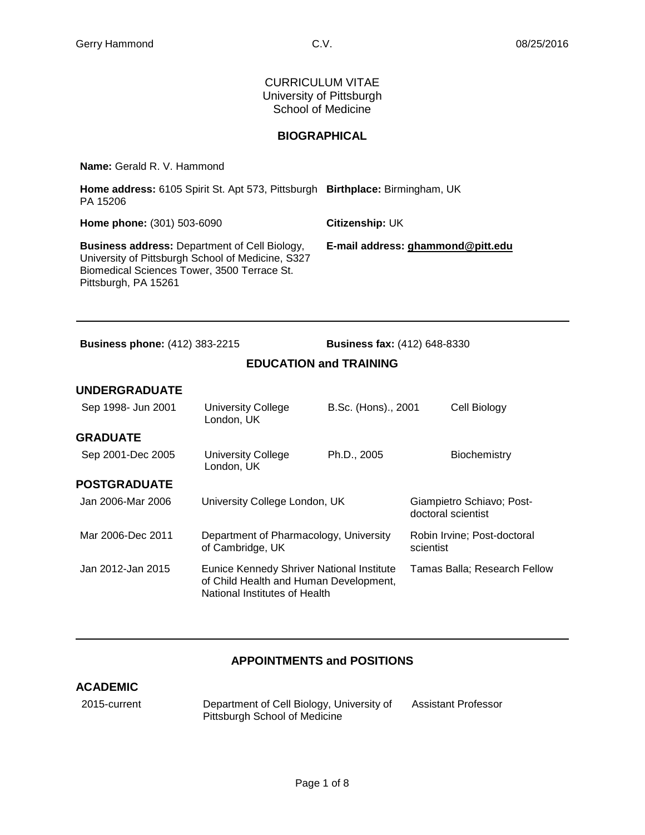CURRICULUM VITAE University of Pittsburgh School of Medicine

## **BIOGRAPHICAL**

**Name:** Gerald R. V. Hammond

| Home address: 6105 Spirit St. Apt 573, Pittsburgh Birthplace: Birmingham, UK<br>PA 15206                                                                                         |                                   |
|----------------------------------------------------------------------------------------------------------------------------------------------------------------------------------|-----------------------------------|
| <b>Home phone: (301) 503-6090</b>                                                                                                                                                | Citizenship: UK                   |
| <b>Business address: Department of Cell Biology,</b><br>University of Pittsburgh School of Medicine, S327<br>Biomedical Sciences Tower, 3500 Terrace St.<br>Pittsburgh, PA 15261 | E-mail address: ghammond@pitt.edu |

**Business phone:** (412) 383-2215 **Business fax:** (412) 648-8330

## **EDUCATION and TRAINING**

#### **UNDERGRADUATE**

| Sep 1998- Jun 2001  | <b>University College</b><br>London, UK                                                                              | B.Sc. (Hons)., 2001 | Cell Biology                                    |
|---------------------|----------------------------------------------------------------------------------------------------------------------|---------------------|-------------------------------------------------|
| <b>GRADUATE</b>     |                                                                                                                      |                     |                                                 |
| Sep 2001-Dec 2005   | University College<br>London, UK                                                                                     | Ph.D., 2005         | Biochemistry                                    |
| <b>POSTGRADUATE</b> |                                                                                                                      |                     |                                                 |
| Jan 2006-Mar 2006   | University College London, UK                                                                                        |                     | Giampietro Schiavo; Post-<br>doctoral scientist |
| Mar 2006-Dec 2011   | Department of Pharmacology, University<br>of Cambridge, UK                                                           |                     | Robin Irvine; Post-doctoral<br>scientist        |
| Jan 2012-Jan 2015   | Eunice Kennedy Shriver National Institute<br>of Child Health and Human Development,<br>National Institutes of Health |                     | Tamas Balla; Research Fellow                    |

## **APPOINTMENTS and POSITIONS**

#### **ACADEMIC**

2015-current Department of Cell Biology, University of Pittsburgh School of Medicine Assistant Professor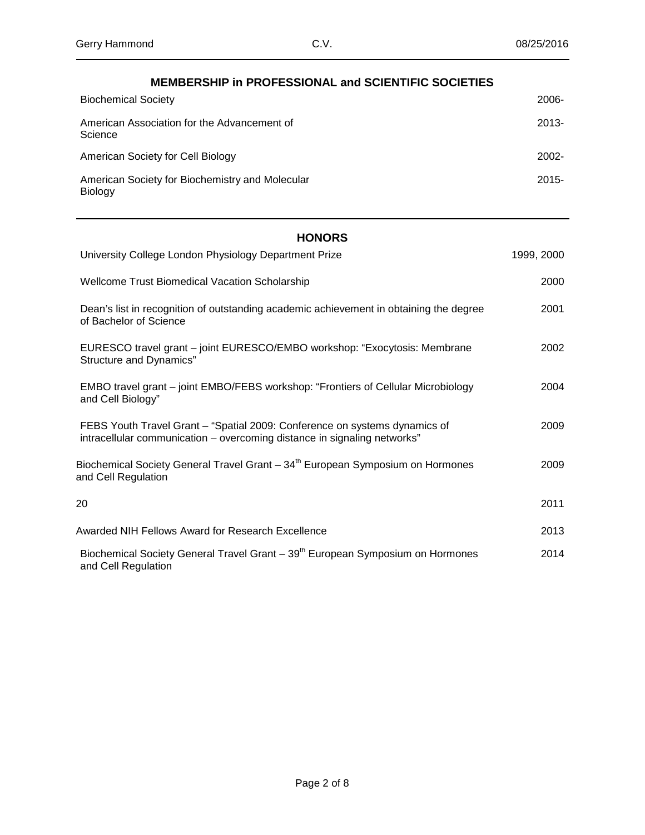| <b>MEMBERSHIP in PROFESSIONAL and SCIENTIFIC SOCIETIES</b> |          |
|------------------------------------------------------------|----------|
| <b>Biochemical Society</b>                                 | $2006 -$ |
| American Association for the Advancement of<br>Science     | $2013 -$ |
| American Society for Cell Biology                          | $2002 -$ |
| American Society for Biochemistry and Molecular<br>Biology | $2015 -$ |

## **HONORS**

| University College London Physiology Department Prize                                                                                                  | 1999, 2000 |
|--------------------------------------------------------------------------------------------------------------------------------------------------------|------------|
| Wellcome Trust Biomedical Vacation Scholarship                                                                                                         | 2000       |
| Dean's list in recognition of outstanding academic achievement in obtaining the degree<br>of Bachelor of Science                                       | 2001       |
| EURESCO travel grant – joint EURESCO/EMBO workshop: "Exocytosis: Membrane<br>Structure and Dynamics"                                                   | 2002       |
| EMBO travel grant – joint EMBO/FEBS workshop: "Frontiers of Cellular Microbiology<br>and Cell Biology"                                                 | 2004       |
| FEBS Youth Travel Grant - "Spatial 2009: Conference on systems dynamics of<br>intracellular communication – overcoming distance in signaling networks" | 2009       |
| Biochemical Society General Travel Grant – 34 <sup>th</sup> European Symposium on Hormones<br>and Cell Regulation                                      | 2009       |
| 20                                                                                                                                                     | 2011       |
| Awarded NIH Fellows Award for Research Excellence                                                                                                      | 2013       |
| Biochemical Society General Travel Grant - 39 <sup>th</sup> European Symposium on Hormones<br>and Cell Regulation                                      | 2014       |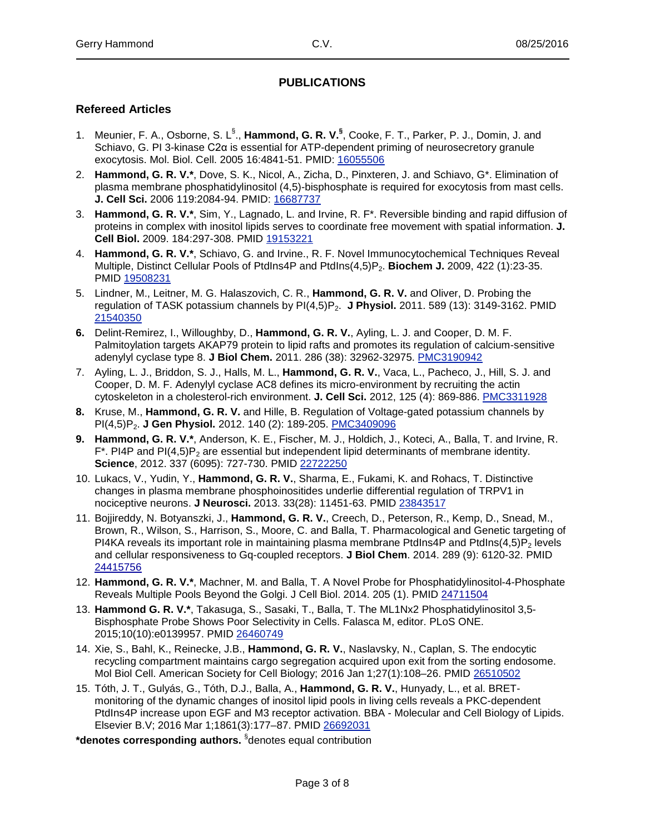#### **PUBLICATIONS**

#### **Refereed Articles**

- 1. Meunier, F. A., Osborne, S. L§ ., **Hammond, G. R. V.§** , Cooke, F. T., Parker, P. J., Domin, J. and Schiavo, G. PI 3-kinase C2α is essential for ATP-dependent priming of neurosecretory granule exocytosis. Mol. Biol. Cell. 2005 16:4841-51. PMID: [16055506](http://www.ncbi.nlm.nih.gov/pubmed?term=16055506)
- 2. **Hammond, G. R. V.\***, Dove, S. K., Nicol, A., Zicha, D., Pinxteren, J. and Schiavo, G\*. Elimination of plasma membrane phosphatidylinositol (4,5)-bisphosphate is required for exocytosis from mast cells. **J. Cell Sci.** 2006 119:2084-94. PMID: [16687737](http://www.ncbi.nlm.nih.gov/pubmed?term=16687737)
- 3. **Hammond, G. R. V.\***, Sim, Y., Lagnado, L. and Irvine, R. F\*. Reversible binding and rapid diffusion of proteins in complex with inositol lipids serves to coordinate free movement with spatial information. **J. Cell Biol.** 2009. 184:297-308. PMID [19153221](http://www.ncbi.nlm.nih.gov/pubmed?term=19153221)
- 4. **Hammond, G. R. V.\***, Schiavo, G. and Irvine., R. F. Novel Immunocytochemical Techniques Reveal Multiple, Distinct Cellular Pools of PtdIns4P and PtdIns(4,5)P2. **Biochem J.** 2009, 422 (1):23-35. PMID [19508231](http://www.ncbi.nlm.nih.gov/pubmed?term=19508231)
- 5. Lindner, M., Leitner, M. G. Halaszovich, C. R., **Hammond, G. R. V.** and Oliver, D. Probing the regulation of TASK potassium channels by PI(4,5)P2. **J Physiol.** 2011. 589 (13): 3149-3162. PMID [21540350](http://www.ncbi.nlm.nih.gov/pubmed?term=21540350)
- **6.** Delint-Remirez, I., Willoughby, D., **Hammond, G. R. V.**, Ayling, L. J. and Cooper, D. M. F. Palmitoylation targets AKAP79 protein to lipid rafts and promotes its regulation of calcium-sensitive adenylyl cyclase type 8. **J Biol Chem.** 2011. 286 (38): 32962-32975. [PMC3190942](http://www.ncbi.nlm.nih.gov/pubmed?term=PMC3190942)
- 7. Ayling, L. J., Briddon, S. J., Halls, M. L., **Hammond, G. R. V.**, Vaca, L., Pacheco, J., Hill, S. J. and Cooper, D. M. F. Adenylyl cyclase AC8 defines its micro-environment by recruiting the actin cytoskeleton in a cholesterol-rich environment. **J. Cell Sci.** 2012, 125 (4): 869-886. [PMC3311928](http://www.ncbi.nlm.nih.gov/pubmed?term=PMC3311928)
- **8.** Kruse, M., **Hammond, G. R. V.** and Hille, B. Regulation of Voltage-gated potassium channels by PI(4,5)P2. **J Gen Physiol.** 2012. 140 (2): 189-205. [PMC3409096](http://www.ncbi.nlm.nih.gov/pubmed?term=PMC3409096)
- **9. Hammond, G. R. V.\***, Anderson, K. E., Fischer, M. J., Holdich, J., Koteci, A., Balla, T. and Irvine, R.  $F^*$ . PI4P and PI(4,5)P<sub>2</sub> are essential but independent lipid determinants of membrane identity. **Science**, 2012. 337 (6095): 727-730. PMID [22722250](http://www.ncbi.nlm.nih.gov/pubmed?term=22722250)
- 10. Lukacs, V., Yudin, Y., **Hammond, G. R. V.**, Sharma, E., Fukami, K. and Rohacs, T. Distinctive changes in plasma membrane phosphoinositides underlie differential regulation of TRPV1 in nociceptive neurons. **J Neurosci.** 2013. 33(28): 11451-63. PMID [23843517](http://www.ncbi.nlm.nih.gov/pubmed/?term=23843517)
- 11. Bojjireddy, N. Botyanszki, J., **Hammond, G. R. V.**, Creech, D., Peterson, R., Kemp, D., Snead, M., Brown, R., Wilson, S., Harrison, S., Moore, C. and Balla, T. Pharmacological and Genetic targeting of PI4KA reveals its important role in maintaining plasma membrane PtdIns4P and PtdIns(4,5)P<sub>2</sub> levels and cellular responsiveness to Gq-coupled receptors. **J Biol Chem**. 2014. 289 (9): 6120-32. PMID [24415756](http://www.ncbi.nlm.nih.gov/pubmed/24415756)
- 12. **Hammond, G. R. V.\***, Machner, M. and Balla, T. A Novel Probe for Phosphatidylinositol-4-Phosphate Reveals Multiple Pools Beyond the Golgi. J Cell Biol. 2014. 205 (1). PMID [24711504](http://www.ncbi.nlm.nih.gov/pubmed/24711504)
- 13. **Hammond G. R. V.\***, Takasuga, S., Sasaki, T., Balla, T. The ML1Nx2 Phosphatidylinositol 3,5- Bisphosphate Probe Shows Poor Selectivity in Cells. Falasca M, editor. PLoS ONE. 2015;10(10):e0139957. PMID [26460749](http://www.ncbi.nlm.nih.gov/pubmed/26460749)
- 14. Xie, S., Bahl, K., Reinecke, J.B., **Hammond, G. R. V.**, Naslavsky, N., Caplan, S. The endocytic recycling compartment maintains cargo segregation acquired upon exit from the sorting endosome. Mol Biol Cell. American Society for Cell Biology; 2016 Jan 1;27(1):108–26. PMID [26510502](http://www.ncbi.nlm.nih.gov/pubmed/?term=26510502)
- 15. Tóth, J. T., Gulyás, G., Tóth, D.J., Balla, A., **Hammond, G. R. V.**, Hunyady, L., et al. BRETmonitoring of the dynamic changes of inositol lipid pools in living cells reveals a PKC-dependent PtdIns4P increase upon EGF and M3 receptor activation. BBA - Molecular and Cell Biology of Lipids. Elsevier B.V; 2016 Mar 1;1861(3):177–87. PMID [26692031](http://www.ncbi.nlm.nih.gov/pubmed/?term=26692031)

**\*denotes corresponding authors.** § denotes equal contribution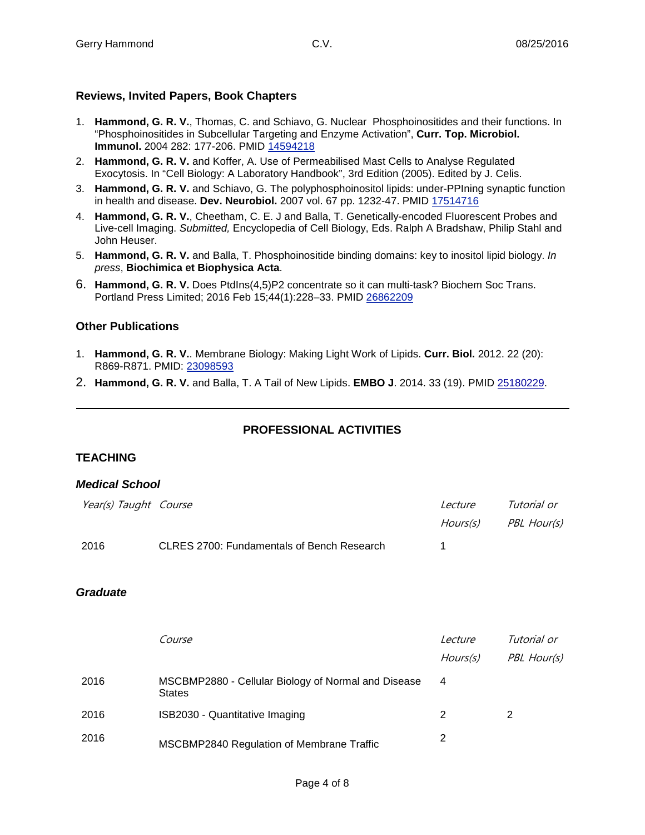#### **Reviews, Invited Papers, Book Chapters**

- 1. **Hammond, G. R. V.**, Thomas, C. and Schiavo, G. Nuclear Phosphoinositides and their functions. In "Phosphoinositides in Subcellular Targeting and Enzyme Activation", **Curr. Top. Microbiol. Immunol.** 2004 282: 177-206. PMID [14594218](http://www.ncbi.nlm.nih.gov/pubmed?term=14594218)
- 2. **Hammond, G. R. V.** and Koffer, A. Use of Permeabilised Mast Cells to Analyse Regulated Exocytosis. In "Cell Biology: A Laboratory Handbook", 3rd Edition (2005). Edited by J. Celis.
- 3. **Hammond, G. R. V.** and Schiavo, G. The polyphosphoinositol lipids: under-PPIning synaptic function in health and disease. **Dev. Neurobiol.** 2007 vol. 67 pp. 1232-47. PMID [17514716](http://www.ncbi.nlm.nih.gov/pubmed?term=17514716)
- 4. **Hammond, G. R. V.**, Cheetham, C. E. J and Balla, T. Genetically-encoded Fluorescent Probes and Live-cell Imaging. *Submitted,* Encyclopedia of Cell Biology, Eds. Ralph A Bradshaw, Philip Stahl and John Heuser.
- 5. **Hammond, G. R. V.** and Balla, T. Phosphoinositide binding domains: key to inositol lipid biology. *In press*, **Biochimica et Biophysica Acta**.
- 6. **Hammond, G. R. V.** Does PtdIns(4,5)P2 concentrate so it can multi-task? Biochem Soc Trans. Portland Press Limited; 2016 Feb 15;44(1):228–33. PMID [26862209](http://www.ncbi.nlm.nih.gov/pubmed/?term=26862209)

#### **Other Publications**

- 1. **Hammond, G. R. V.**. Membrane Biology: Making Light Work of Lipids. **Curr. Biol.** 2012. 22 (20): R869-R871. PMID: [23098593](http://www.ncbi.nlm.nih.gov/pubmed?term=23098593)
- 2. **Hammond, G. R. V.** and Balla, T. A Tail of New Lipids. **EMBO J**. 2014. 33 (19). PMID [25180229.](http://www.ncbi.nlm.nih.gov/pubmed/?term=25180229)

## **PROFESSIONAL ACTIVITIES**

## **TEACHING**

#### *Medical School*

| Year(s) Taught Course |                                                   | <i>Lecture</i> | Tutorial or |
|-----------------------|---------------------------------------------------|----------------|-------------|
|                       |                                                   | Hours(s)       | PBL Hour(s) |
| 2016                  | <b>CLRES 2700: Fundamentals of Bench Research</b> |                |             |

#### *Graduate*

|      | Course                                                               | Lecture  | Tutorial or |
|------|----------------------------------------------------------------------|----------|-------------|
|      |                                                                      | Hours(s) | PBL Hour(s) |
| 2016 | MSCBMP2880 - Cellular Biology of Normal and Disease<br><b>States</b> | 4        |             |
| 2016 | ISB2030 - Quantitative Imaging                                       | 2        |             |
| 2016 | MSCBMP2840 Regulation of Membrane Traffic                            | 2        |             |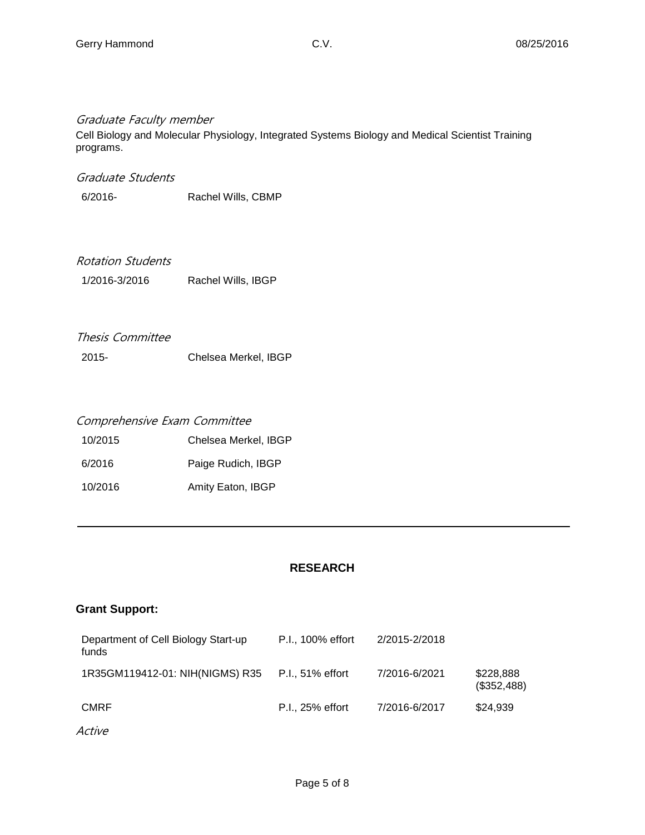#### Graduate Faculty member

Cell Biology and Molecular Physiology, Integrated Systems Biology and Medical Scientist Training programs.

#### Graduate Students

6/2016- Rachel Wills, CBMP

#### Rotation Students

1/2016-3/2016 Rachel Wills, IBGP

# Thesis Committee

2015- Chelsea Merkel, IBGP

#### Comprehensive Exam Committee

| 10/2015 | Chelsea Merkel, IBGP |
|---------|----------------------|
| 6/2016  | Paige Rudich, IBGP   |
| 10/2016 | Amity Eaton, IBGP    |

#### **RESEARCH**

#### **Grant Support:**

| Department of Cell Biology Start-up<br>funds | P.I., 100% effort | 2/2015-2/2018 |                          |
|----------------------------------------------|-------------------|---------------|--------------------------|
| 1R35GM119412-01: NIH(NIGMS) R35              | P.I., 51% effort  | 7/2016-6/2021 | \$228,888<br>(\$352,488) |
| <b>CMRF</b>                                  | P.I., 25% effort  | 7/2016-6/2017 | \$24,939                 |
| Active                                       |                   |               |                          |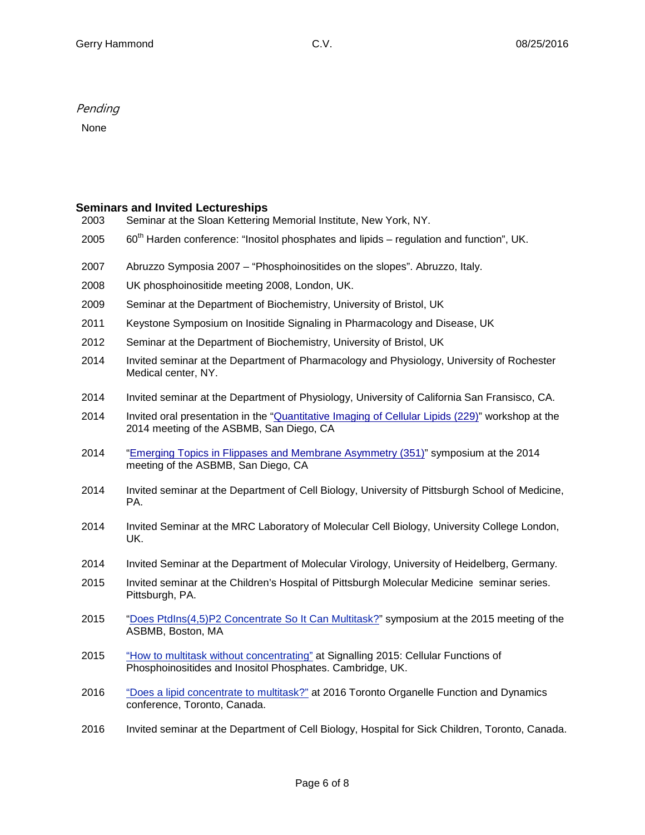#### Pending

None

#### **Seminars and Invited Lectureships**

| 2003 |  | Seminar at the Sloan Kettering Memorial Institute, New York, NY. |
|------|--|------------------------------------------------------------------|
|      |  |                                                                  |

- 2005  $60<sup>th</sup>$  Harden conference: "Inositol phosphates and lipids regulation and function", UK.
- 2007 Abruzzo Symposia 2007 "Phosphoinositides on the slopes". Abruzzo, Italy.
- 2008 UK phosphoinositide meeting 2008, London, UK.
- 2009 Seminar at the Department of Biochemistry, University of Bristol, UK
- 2011 Keystone Symposium on Inositide Signaling in Pharmacology and Disease, UK
- 2012 Seminar at the Department of Biochemistry, University of Bristol, UK
- 2014 Invited seminar at the Department of Pharmacology and Physiology, University of Rochester Medical center, NY.
- 2014 Invited seminar at the Department of Physiology, University of California San Fransisco, CA.
- 2014 Invited oral presentation in the ["Quantitative](http://www.asbmb.org/Meetings_01/2014mtg/2014AnnlMtgProgInfo.aspx) Imaging of Cellular Lipids (229)" workshop at the 2014 meeting of the ASBMB, San Diego, CA
- 2014 "Emerging Topics in Flippases and Membrane [Asymmetry](http://www.asbmb.org/Meetings_01/2014mtg/2014AnnlMtgProgInfo.aspx) (351)" symposium at the 2014 meeting of the ASBMB, San Diego, CA
- 2014 Invited seminar at the Department of Cell Biology, University of Pittsburgh School of Medicine, PA.
- 2014 Invited Seminar at the MRC Laboratory of Molecular Cell Biology, University College London, UK.
- 2014 Invited Seminar at the Department of Molecular Virology, University of Heidelberg, Germany.
- 2015 Invited seminar at the Children's Hospital of Pittsburgh Molecular Medicine seminar series. Pittsburgh, PA.
- 2015 "Does [PtdIns\(4,5\)P2](https://www.asbmb.org/meetings/annualmeeting2015/sessions/themes/lipids/) Concentrate So It Can Multitask?" symposium at the 2015 meeting of the ASBMB, Boston, MA
- 2015 "How to multitask without [concentrating"](https://www.biochemistry.org/Events/tabid/379/View/Programme/MeetingNo/SA171/Default.aspx) at Signalling 2015: Cellular Functions of Phosphoinositides and Inositol Phosphates. Cambridge, UK.
- 2016 "Does a lipid [concentrate](http://www.ascb.org/ascb-meetings/toofad-conference/) to multitask?" at 2016 Toronto Organelle Function and Dynamics conference, Toronto, Canada.
- 2016 Invited seminar at the Department of Cell Biology, Hospital for Sick Children, Toronto, Canada.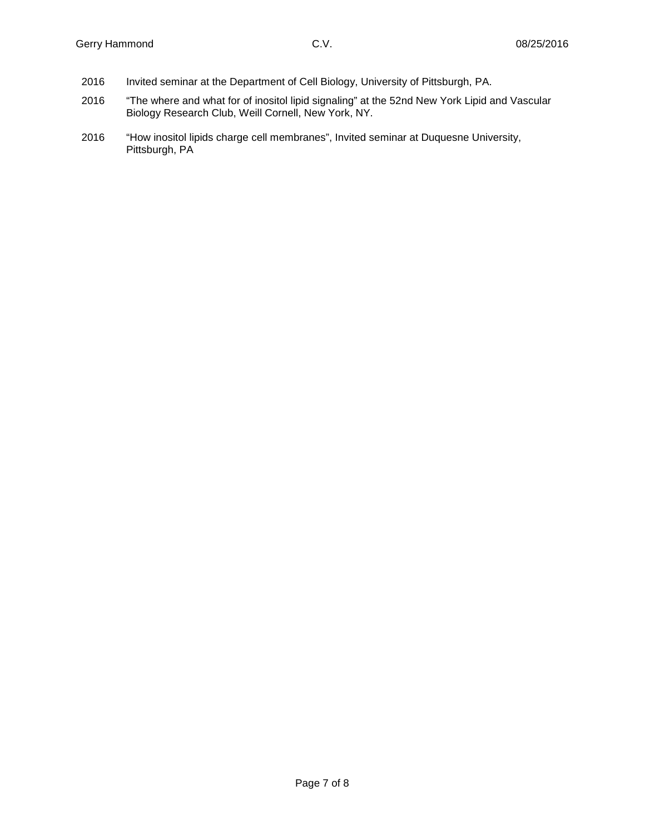- 2016 Invited seminar at the Department of Cell Biology, University of Pittsburgh, PA.
- 2016 "The where and what for of inositol lipid signaling" at the 52nd New York Lipid and Vascular Biology Research Club, Weill Cornell, New York, NY.
- 2016 "How inositol lipids charge cell membranes", Invited seminar at Duquesne University, Pittsburgh, PA